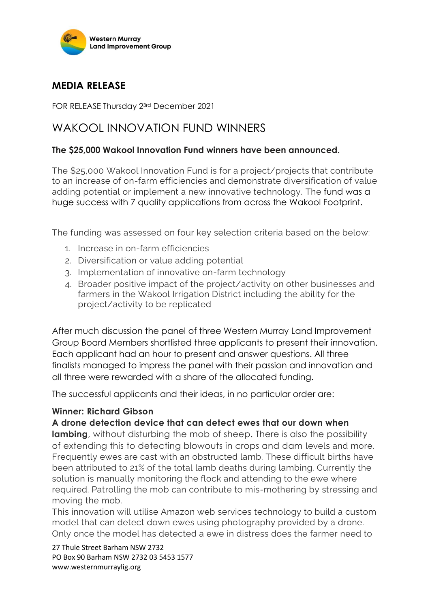

## **MEDIA RELEASE**

FOR RELEASE Thursday 23rd December 2021

# WAKOOL INNOVATION FUND WINNERS

### **The \$25,000 Wakool Innovation Fund winners have been announced.**

The \$25,000 Wakool Innovation Fund is for a project/projects that contribute to an increase of on-farm efficiencies and demonstrate diversification of value adding potential or implement a new innovative technology. The fund was a huge success with 7 quality applications from across the Wakool Footprint.

The funding was assessed on four key selection criteria based on the below:

- 1. Increase in on-farm efficiencies
- 2. Diversification or value adding potential
- 3. Implementation of innovative on-farm technology
- 4. Broader positive impact of the project/activity on other businesses and farmers in the Wakool Irrigation District including the ability for the project/activity to be replicated

After much discussion the panel of three Western Murray Land Improvement Group Board Members shortlisted three applicants to present their innovation. Each applicant had an hour to present and answer questions. All three finalists managed to impress the panel with their passion and innovation and all three were rewarded with a share of the allocated funding.

The successful applicants and their ideas, in no particular order are:

#### **Winner: Richard Gibson**

#### **A drone detection device that can detect ewes that our down when**

**lambing**, without disturbing the mob of sheep. There is also the possibility of extending this to detecting blowouts in crops and dam levels and more. Frequently ewes are cast with an obstructed lamb. These difficult births have been attributed to 21% of the total lamb deaths during lambing. Currently the solution is manually monitoring the flock and attending to the ewe where required. Patrolling the mob can contribute to mis-mothering by stressing and moving the mob.

This innovation will utilise Amazon web services technology to build a custom model that can detect down ewes using photography provided by a drone. Only once the model has detected a ewe in distress does the farmer need to

27 Thule Street Barham NSW 2732 PO Box 90 Barham NSW 2732 03 5453 1577 www.westernmurraylig.org